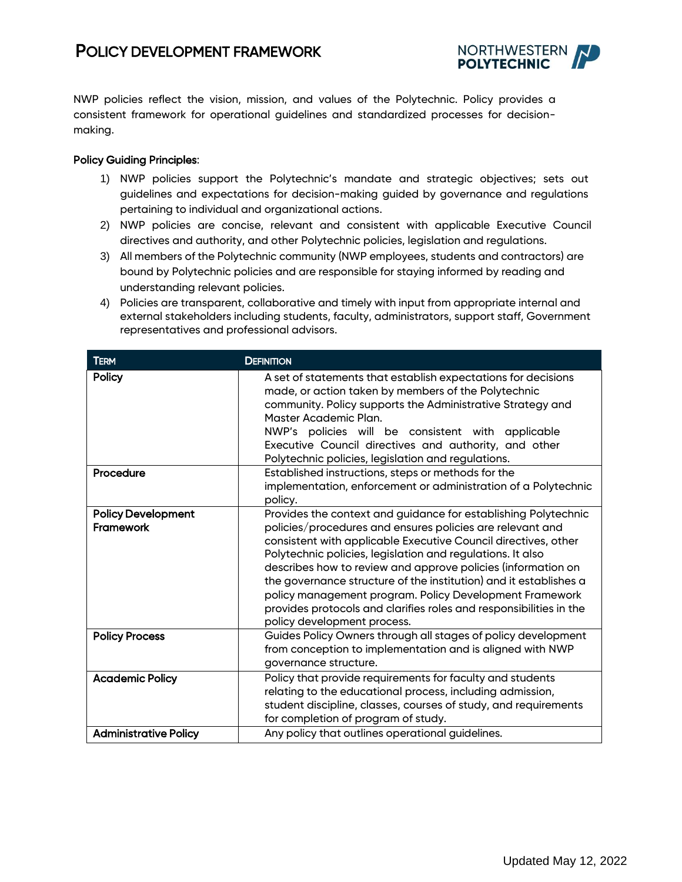# POLICY DEVELOPMENT FRAMEWORK



NWP policies reflect the vision, mission, and values of the Polytechnic. Policy provides a consistent framework for operational guidelines and standardized processes for decisionmaking.

## Policy Guiding Principles:

- 1) NWP policies support the Polytechnic's mandate and strategic objectives; sets out guidelines and expectations for decision-making guided by governance and regulations pertaining to individual and organizational actions.
- 2) NWP policies are concise, relevant and consistent with applicable Executive Council directives and authority, and other Polytechnic policies, legislation and regulations.
- 3) All members of the Polytechnic community (NWP employees, students and contractors) are bound by Polytechnic policies and are responsible for staying informed by reading and understanding relevant policies.
- 4) Policies are transparent, collaborative and timely with input from appropriate internal and external stakeholders including students, faculty, administrators, support staff, Government representatives and professional advisors.

| <b>TERM</b>                                   | <b>DEFINITION</b>                                                                                                                                                                                                                                                                                                                                                                                                                                                                                                                                                |
|-----------------------------------------------|------------------------------------------------------------------------------------------------------------------------------------------------------------------------------------------------------------------------------------------------------------------------------------------------------------------------------------------------------------------------------------------------------------------------------------------------------------------------------------------------------------------------------------------------------------------|
| Policy                                        | A set of statements that establish expectations for decisions<br>made, or action taken by members of the Polytechnic<br>community. Policy supports the Administrative Strategy and<br>Master Academic Plan.<br>NWP's policies will be consistent with applicable<br>Executive Council directives and authority, and other<br>Polytechnic policies, legislation and regulations.                                                                                                                                                                                  |
| Procedure                                     | Established instructions, steps or methods for the<br>implementation, enforcement or administration of a Polytechnic<br>policy.                                                                                                                                                                                                                                                                                                                                                                                                                                  |
| <b>Policy Development</b><br><b>Framework</b> | Provides the context and guidance for establishing Polytechnic<br>policies/procedures and ensures policies are relevant and<br>consistent with applicable Executive Council directives, other<br>Polytechnic policies, legislation and regulations. It also<br>describes how to review and approve policies (information on<br>the governance structure of the institution) and it establishes a<br>policy management program. Policy Development Framework<br>provides protocols and clarifies roles and responsibilities in the<br>policy development process. |
| <b>Policy Process</b>                         | Guides Policy Owners through all stages of policy development<br>from conception to implementation and is aligned with NWP<br>governance structure.                                                                                                                                                                                                                                                                                                                                                                                                              |
| <b>Academic Policy</b>                        | Policy that provide requirements for faculty and students<br>relating to the educational process, including admission,<br>student discipline, classes, courses of study, and requirements<br>for completion of program of study.                                                                                                                                                                                                                                                                                                                                 |
| <b>Administrative Policy</b>                  | Any policy that outlines operational guidelines.                                                                                                                                                                                                                                                                                                                                                                                                                                                                                                                 |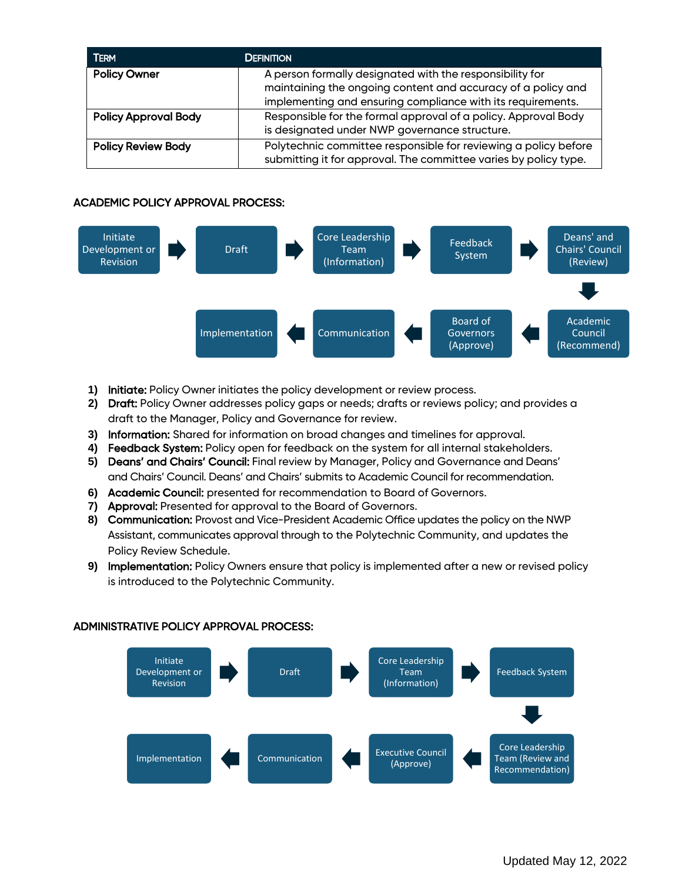| <b>TERM</b>                 | <b>DEFINITION</b>                                                                                                                                                                       |
|-----------------------------|-----------------------------------------------------------------------------------------------------------------------------------------------------------------------------------------|
| <b>Policy Owner</b>         | A person formally designated with the responsibility for<br>maintaining the ongoing content and accuracy of a policy and<br>implementing and ensuring compliance with its requirements. |
| <b>Policy Approval Body</b> | Responsible for the formal approval of a policy. Approval Body<br>is designated under NWP governance structure.                                                                         |
| <b>Policy Review Body</b>   | Polytechnic committee responsible for reviewing a policy before<br>submitting it for approval. The committee varies by policy type.                                                     |

# ACADEMIC POLICY APPROVAL PROCESS:



- **1)** Initiate: Policy Owner initiates the policy development or review process.
- **2)** Draft: Policy Owner addresses policy gaps or needs; drafts or reviews policy; and provides a draft to the Manager, Policy and Governance for review.
- **3)** Information: Shared for information on broad changes and timelines for approval.
- **4)** Feedback System: Policy open for feedback on the system for all internal stakeholders.
- **5)** Deans' and Chairs' Council: Final review by Manager, Policy and Governance and Deans' and Chairs' Council. Deans' and Chairs' submits to Academic Council for recommendation.
- **6)** Academic Council: presented for recommendation to Board of Governors.
- **7)** Approval: Presented for approval to the Board of Governors.
- **8)** Communication: Provost and Vice-President Academic Office updates the policy on the NWP Assistant, communicates approval through to the Polytechnic Community, and updates the Policy Review Schedule.
- **9)** Implementation: Policy Owners ensure that policy is implemented after a new or revised policy is introduced to the Polytechnic Community.



## ADMINISTRATIVE POLICY APPROVAL PROCESS: